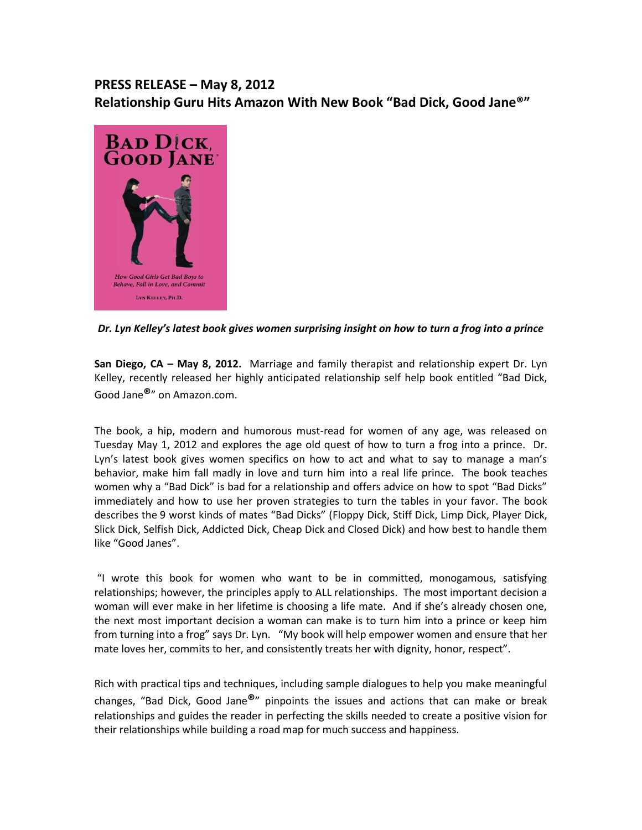## **PRESS RELEASE – May 8, 2012 Relationship Guru Hits Amazon With New Book "Bad Dick, Good Jane®"**



## *Dr. Lyn Kelley's latest book gives women surprising insight on how to turn a frog into a prince*

**San Diego, CA – May 8, 2012.** Marriage and family therapist and relationship expert Dr. Lyn Kelley, recently released her highly anticipated relationship self help book entitled "Bad Dick, Good Jane**®**" on Amazon.com.

The book, a hip, modern and humorous must-read for women of any age, was released on Tuesday May 1, 2012 and explores the age old quest of how to turn a frog into a prince. Dr. Lyn's latest book gives women specifics on how to act and what to say to manage a man's behavior, make him fall madly in love and turn him into a real life prince. The book teaches women why a "Bad Dick" is bad for a relationship and offers advice on how to spot "Bad Dicks" immediately and how to use her proven strategies to turn the tables in your favor. The book describes the 9 worst kinds of mates "Bad Dicks" (Floppy Dick, Stiff Dick, Limp Dick, Player Dick, Slick Dick, Selfish Dick, Addicted Dick, Cheap Dick and Closed Dick) and how best to handle them like "Good Janes".

"I wrote this book for women who want to be in committed, monogamous, satisfying relationships; however, the principles apply to ALL relationships. The most important decision a woman will ever make in her lifetime is choosing a life mate. And if she's already chosen one, the next most important decision a woman can make is to turn him into a prince or keep him from turning into a frog" says Dr. Lyn. "My book will help empower women and ensure that her mate loves her, commits to her, and consistently treats her with dignity, honor, respect".

Rich with practical tips and techniques, including sample dialogues to help you make meaningful changes, "Bad Dick, Good Jane**®**" pinpoints the issues and actions that can make or break relationships and guides the reader in perfecting the skills needed to create a positive vision for their relationships while building a road map for much success and happiness.